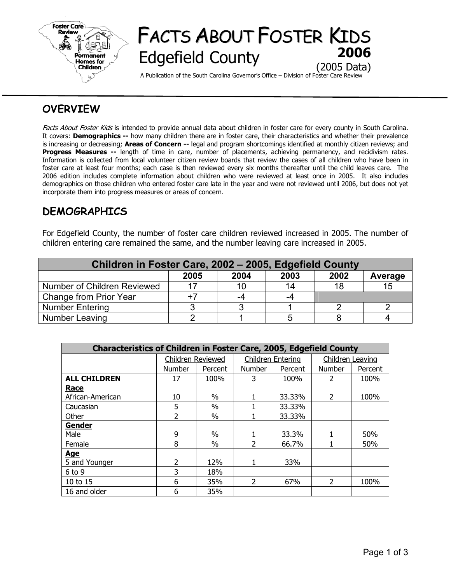

# FACTS ABOUT FOSTER KIDS **Edgefield County** (2005 Data)

A Publication of the South Carolina Governor's Office – Division of Foster Care Review

## **OVERVIEW**

Facts About Foster Kids is intended to provide annual data about children in foster care for every county in South Carolina. It covers: **Demographics --** how many children there are in foster care, their characteristics and whether their prevalence is increasing or decreasing; **Areas of Concern --** legal and program shortcomings identified at monthly citizen reviews; and **Progress Measures --** length of time in care, number of placements, achieving permanency, and recidivism rates. Information is collected from local volunteer citizen review boards that review the cases of all children who have been in foster care at least four months; each case is then reviewed every six months thereafter until the child leaves care. The 2006 edition includes complete information about children who were reviewed at least once in 2005. It also includes demographics on those children who entered foster care late in the year and were not reviewed until 2006, but does not yet incorporate them into progress measures or areas of concern.

## **DEMOGRAPHICS**

For Edgefield County, the number of foster care children reviewed increased in 2005. The number of children entering care remained the same, and the number leaving care increased in 2005.

| Children in Foster Care, 2002 - 2005, Edgefield County |      |      |      |      |         |  |  |  |
|--------------------------------------------------------|------|------|------|------|---------|--|--|--|
|                                                        | 2005 | 2004 | 2003 | 2002 | Average |  |  |  |
| Number of Children Reviewed                            |      | 10   | 14   | 18   | 15      |  |  |  |
| Change from Prior Year                                 |      | -4   | -4   |      |         |  |  |  |
| <b>Number Entering</b>                                 |      |      |      |      |         |  |  |  |
| Number Leaving                                         |      |      |      |      |         |  |  |  |

| <b>Characteristics of Children in Foster Care, 2005, Edgefield County</b> |                   |         |                          |         |                          |         |  |  |  |
|---------------------------------------------------------------------------|-------------------|---------|--------------------------|---------|--------------------------|---------|--|--|--|
|                                                                           | Children Reviewed |         | <b>Children Entering</b> |         | Children Leaving         |         |  |  |  |
|                                                                           | <b>Number</b>     | Percent | <b>Number</b>            | Percent | <b>Number</b>            | Percent |  |  |  |
| <b>ALL CHILDREN</b>                                                       | 17                | 100%    | 3                        | 100%    | 2                        | 100%    |  |  |  |
| Race                                                                      |                   |         |                          |         |                          |         |  |  |  |
| African-American                                                          | 10                | $\%$    |                          | 33.33%  | $\overline{2}$           | 100%    |  |  |  |
| Caucasian                                                                 | 5                 | $\%$    |                          | 33.33%  |                          |         |  |  |  |
| Other                                                                     | 2                 | $\%$    |                          | 33.33%  |                          |         |  |  |  |
| <b>Gender</b>                                                             |                   |         |                          |         |                          |         |  |  |  |
| Male                                                                      | 9                 | $\%$    |                          | 33.3%   |                          | 50%     |  |  |  |
| Female                                                                    | 8                 | $\%$    | $\mathcal{L}$            | 66.7%   |                          | 50%     |  |  |  |
| <b>Age</b>                                                                |                   |         |                          |         |                          |         |  |  |  |
| 5 and Younger                                                             | $\overline{2}$    | 12%     |                          | 33%     |                          |         |  |  |  |
| $6$ to 9                                                                  | 3                 | 18%     |                          |         |                          |         |  |  |  |
| 10 to 15                                                                  | 6                 | 35%     | $\overline{2}$           | 67%     | $\overline{\phantom{a}}$ | 100%    |  |  |  |
| 16 and older                                                              | 6                 | 35%     |                          |         |                          |         |  |  |  |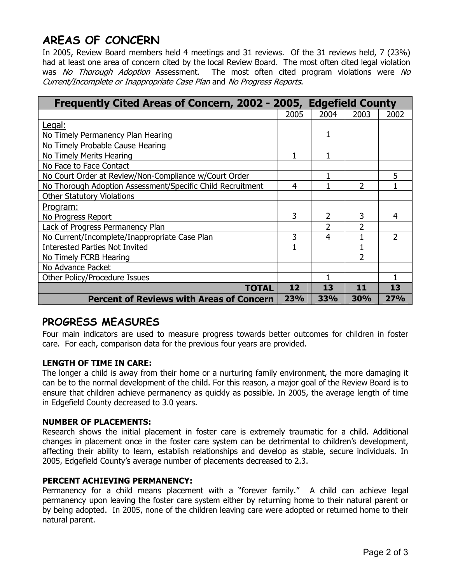## **AREAS OF CONCERN**

In 2005, Review Board members held 4 meetings and 31 reviews. Of the 31 reviews held, 7 (23%) had at least one area of concern cited by the local Review Board. The most often cited legal violation was No Thorough Adoption Assessment. The most often cited program violations were No Current/Incomplete or Inappropriate Case Plan and No Progress Reports.

| Frequently Cited Areas of Concern, 2002 - 2005, Edgefield County |      |            |                |      |  |
|------------------------------------------------------------------|------|------------|----------------|------|--|
|                                                                  | 2005 | 2004       | 2003           | 2002 |  |
| <u>Legal:</u>                                                    |      |            |                |      |  |
| No Timely Permanency Plan Hearing                                |      | 1          |                |      |  |
| No Timely Probable Cause Hearing                                 |      |            |                |      |  |
| No Timely Merits Hearing                                         |      | 1          |                |      |  |
| No Face to Face Contact                                          |      |            |                |      |  |
| No Court Order at Review/Non-Compliance w/Court Order            |      |            |                | 5    |  |
| No Thorough Adoption Assessment/Specific Child Recruitment       | 4    |            | $\overline{2}$ |      |  |
| <b>Other Statutory Violations</b>                                |      |            |                |      |  |
| Program:                                                         |      |            |                |      |  |
| No Progress Report                                               | 3    | 2          | 3              | 4    |  |
| Lack of Progress Permanency Plan                                 |      | 2          | 2              |      |  |
| No Current/Incomplete/Inappropriate Case Plan                    | 3    | 4          |                | 2    |  |
| <b>Interested Parties Not Invited</b>                            |      |            |                |      |  |
| No Timely FCRB Hearing                                           |      |            | $\overline{2}$ |      |  |
| No Advance Packet                                                |      |            |                |      |  |
| Other Policy/Procedure Issues                                    |      |            |                |      |  |
| <b>TOTAL</b>                                                     | 12   | 13         | 11             | 13   |  |
| <b>Percent of Reviews with Areas of Concern</b>                  | 23%  | <b>33%</b> | <b>30%</b>     | 27%  |  |

## **PROGRESS MEASURES**

Four main indicators are used to measure progress towards better outcomes for children in foster care. For each, comparison data for the previous four years are provided.

### **LENGTH OF TIME IN CARE:**

The longer a child is away from their home or a nurturing family environment, the more damaging it can be to the normal development of the child. For this reason, a major goal of the Review Board is to ensure that children achieve permanency as quickly as possible. In 2005, the average length of time in Edgefield County decreased to 3.0 years.

### **NUMBER OF PLACEMENTS:**

Research shows the initial placement in foster care is extremely traumatic for a child. Additional changes in placement once in the foster care system can be detrimental to children's development, affecting their ability to learn, establish relationships and develop as stable, secure individuals. In 2005, Edgefield County's average number of placements decreased to 2.3.

### **PERCENT ACHIEVING PERMANENCY:**

Permanency for a child means placement with a "forever family." A child can achieve legal permanency upon leaving the foster care system either by returning home to their natural parent or by being adopted. In 2005, none of the children leaving care were adopted or returned home to their natural parent.